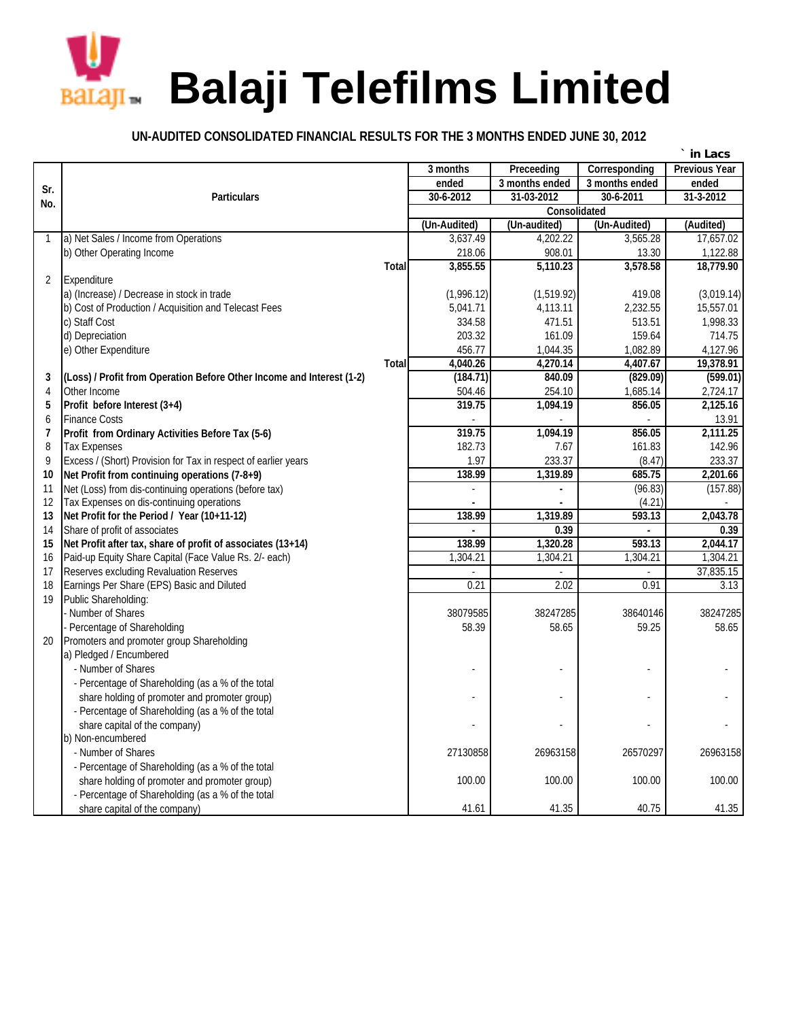

## **UN-AUDITED CONSOLIDATED FINANCIAL RESULTS FOR THE 3 MONTHS ENDED JUNE 30, 2012**

|                |                                                                       |              |                         |                |                | in Lacs              |  |  |
|----------------|-----------------------------------------------------------------------|--------------|-------------------------|----------------|----------------|----------------------|--|--|
|                |                                                                       |              | 3 months                | Preceeding     | Corresponding  | <b>Previous Year</b> |  |  |
| Sr.            |                                                                       |              | ended                   | 3 months ended | 3 months ended | ended                |  |  |
| No.            | <b>Particulars</b>                                                    |              | 30-6-2012<br>31-03-2012 |                | 30-6-2011      | 31-3-2012            |  |  |
|                |                                                                       | Consolidated |                         |                |                |                      |  |  |
|                |                                                                       |              | (Un-Audited)            | (Un-audited)   | (Un-Audited)   | (Audited)            |  |  |
| 1              | a) Net Sales / Income from Operations                                 |              | 3,637.49                | 4,202.22       | 3,565.28       | 17,657.02            |  |  |
|                | b) Other Operating Income                                             |              | 218.06                  | 908.01         | 13.30          | 1,122.88             |  |  |
|                |                                                                       | <b>Total</b> | 3,855.55                | 5,110.23       | 3,578.58       | 18,779.90            |  |  |
| $\overline{2}$ | Expenditure                                                           |              |                         |                |                |                      |  |  |
|                | a) (Increase) / Decrease in stock in trade                            |              | (1,996.12)              | (1,519.92)     | 419.08         | (3,019.14)           |  |  |
|                | b) Cost of Production / Acquisition and Telecast Fees                 |              | 5,041.71                | 4,113.11       | 2,232.55       | 15,557.01            |  |  |
|                | c) Staff Cost                                                         |              | 334.58                  | 471.51         | 513.51         | 1.998.33             |  |  |
|                | d) Depreciation                                                       |              | 203.32                  | 161.09         | 159.64         | 714.75               |  |  |
|                | e) Other Expenditure                                                  |              | 456.77                  | 1,044.35       | 1,082.89       | 4,127.96             |  |  |
|                |                                                                       | <b>Total</b> | 4,040.26                | 4,270.14       | 4,407.67       | 19,378.91            |  |  |
| 3              | (Loss) / Profit from Operation Before Other Income and Interest (1-2) |              | (184.71)                | 840.09         | (829.09)       | (599.01)             |  |  |
| 4              | Other Income                                                          |              | 504.46                  | 254.10         | 1,685.14       | 2,724.17             |  |  |
| 5              | Profit before Interest (3+4)                                          |              | 319.75                  | 1,094.19       | 856.05         | 2,125.16             |  |  |
| 6              | <b>Finance Costs</b>                                                  |              |                         |                |                | 13.91                |  |  |
| $\overline{1}$ | Profit from Ordinary Activities Before Tax (5-6)                      |              | 319.75                  | 1,094.19       | 856.05         | 2.111.25             |  |  |
| 8              | <b>Tax Expenses</b>                                                   |              | 182.73                  | 7.67           | 161.83         | 142.96               |  |  |
| 9              | Excess / (Short) Provision for Tax in respect of earlier years        |              | 1.97                    | 233.37         | (8.47)         | 233.37               |  |  |
| 10             | Net Profit from continuing operations (7-8+9)                         |              | 138.99                  | 1,319.89       | 685.75         | 2,201.66             |  |  |
| 11             | Net (Loss) from dis-continuing operations (before tax)                |              |                         |                | (96.83)        | (157.88)             |  |  |
| 12             | Tax Expenses on dis-continuing operations                             |              |                         |                | (4.21)         |                      |  |  |
| 13             | Net Profit for the Period / Year (10+11-12)                           |              | 138.99                  | 1,319.89       | 593.13         | 2,043.78             |  |  |
| 14             | Share of profit of associates                                         |              |                         | 0.39           |                | 0.39                 |  |  |
| 15             | Net Profit after tax, share of profit of associates (13+14)           |              | 138.99                  | 1,320.28       | 593.13         | 2,044.17             |  |  |
| 16             | Paid-up Equity Share Capital (Face Value Rs. 2/- each)                |              | 1,304.21                | 1,304.21       | 1,304.21       | 1,304.21             |  |  |
| 17             | Reserves excluding Revaluation Reserves                               |              |                         |                |                | 37,835.15            |  |  |
| 18             | Earnings Per Share (EPS) Basic and Diluted                            |              | 0.21                    | 2.02           | 0.91           | 3.13                 |  |  |
| 19             | Public Shareholding:                                                  |              |                         |                |                |                      |  |  |
|                | - Number of Shares                                                    |              | 38079585                | 38247285       | 38640146       | 38247285             |  |  |
|                | - Percentage of Shareholding                                          |              | 58.39                   | 58.65          | 59.25          | 58.65                |  |  |
| 20             | Promoters and promoter group Shareholding                             |              |                         |                |                |                      |  |  |
|                | a) Pledged / Encumbered                                               |              |                         |                |                |                      |  |  |
|                | - Number of Shares                                                    |              |                         |                |                |                      |  |  |
|                | - Percentage of Shareholding (as a % of the total                     |              |                         |                |                |                      |  |  |
|                | share holding of promoter and promoter group)                         |              |                         |                |                |                      |  |  |
|                | - Percentage of Shareholding (as a % of the total                     |              |                         |                |                |                      |  |  |
|                | share capital of the company)                                         |              |                         |                |                |                      |  |  |
|                | b) Non-encumbered                                                     |              |                         |                |                |                      |  |  |
|                | - Number of Shares                                                    |              | 27130858                | 26963158       | 26570297       | 26963158             |  |  |
|                | - Percentage of Shareholding (as a % of the total                     |              |                         |                |                |                      |  |  |
|                | share holding of promoter and promoter group)                         |              | 100.00                  | 100.00         | 100.00         | 100.00               |  |  |
|                | - Percentage of Shareholding (as a % of the total                     |              |                         |                |                |                      |  |  |
|                | share capital of the company)                                         |              | 41.61                   | 41.35          | 40.75          | 41.35                |  |  |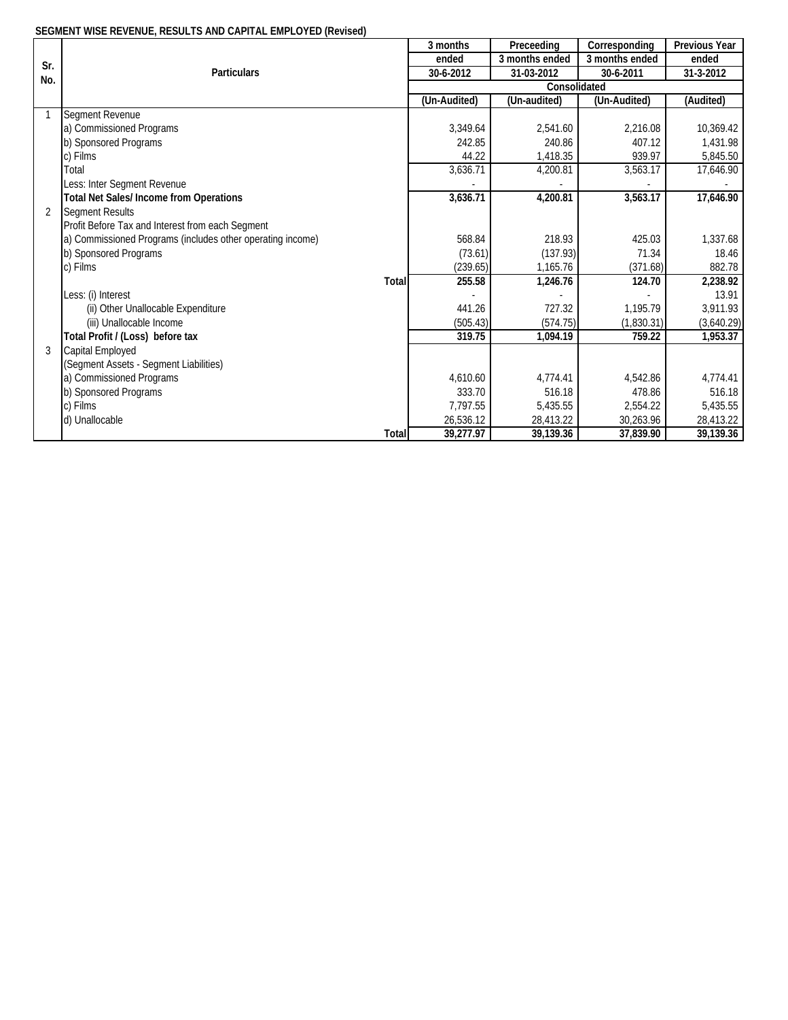## **SEGMENT WISE REVENUE, RESULTS AND CAPITAL EMPLOYED (Revised)**

|                |                                                            | 3 months            | Preceeding     | Corresponding  | <b>Previous Year</b> |  |  |  |
|----------------|------------------------------------------------------------|---------------------|----------------|----------------|----------------------|--|--|--|
| Sr.            |                                                            | ended               | 3 months ended | 3 months ended | ended                |  |  |  |
| No.            | <b>Particulars</b>                                         | 30-6-2012           | 31-03-2012     | 30-6-2011      | 31-3-2012            |  |  |  |
|                |                                                            | <b>Consolidated</b> |                |                |                      |  |  |  |
|                |                                                            | (Un-Audited)        | (Un-audited)   | (Un-Audited)   | (Audited)            |  |  |  |
|                | <b>Segment Revenue</b>                                     |                     |                |                |                      |  |  |  |
|                | a) Commissioned Programs                                   | 3,349.64            | 2,541.60       | 2,216.08       | 10,369.42            |  |  |  |
|                | b) Sponsored Programs                                      | 242.85              | 240.86         | 407.12         | 1,431.98             |  |  |  |
|                | c) Films                                                   | 44.22               | 1,418.35       | 939.97         | 5,845.50             |  |  |  |
|                | Total                                                      | 3,636.71            | 4,200.81       | 3,563.17       | 17,646.90            |  |  |  |
|                | Less: Inter Segment Revenue                                |                     |                |                |                      |  |  |  |
|                | <b>Total Net Sales/Income from Operations</b>              | 3,636.71            | 4,200.81       | 3,563.17       | 17,646.90            |  |  |  |
| $\overline{2}$ | <b>Segment Results</b>                                     |                     |                |                |                      |  |  |  |
|                | Profit Before Tax and Interest from each Segment           |                     |                |                |                      |  |  |  |
|                | a) Commissioned Programs (includes other operating income) | 568.84              | 218.93         | 425.03         | 1,337.68             |  |  |  |
|                | b) Sponsored Programs                                      | (73.61)             | (137.93)       | 71.34          | 18.46                |  |  |  |
|                | c) Films                                                   | (239.65)            | 1,165.76       | (371.68)       | 882.78               |  |  |  |
|                | <b>Total</b>                                               | 255.58              | 1,246.76       | 124.70         | 2,238.92             |  |  |  |
|                | Less: (i) Interest                                         |                     |                |                | 13.91                |  |  |  |
|                | (ii) Other Unallocable Expenditure                         | 441.26              | 727.32         | 1.195.79       | 3.911.93             |  |  |  |
|                | (iii) Unallocable Income                                   | (505.43)            | (574.75)       | (1,830.31)     | (3,640.29)           |  |  |  |
|                | Total Profit / (Loss) before tax                           | 319.75              | 1,094.19       | 759.22         | 1,953.37             |  |  |  |
| $\mathcal{R}$  | <b>Capital Employed</b>                                    |                     |                |                |                      |  |  |  |
|                | (Segment Assets - Segment Liabilities)                     |                     |                |                |                      |  |  |  |
|                | a) Commissioned Programs                                   | 4,610.60            | 4.774.41       | 4,542.86       | 4,774.41             |  |  |  |
|                | b) Sponsored Programs                                      | 333.70              | 516.18         | 478.86         | 516.18               |  |  |  |
|                | c) Films                                                   | 7,797.55            | 5,435.55       | 2,554.22       | 5,435.55             |  |  |  |
|                | d) Unallocable                                             | 26,536.12           | 28,413.22      | 30,263.96      | 28,413.22            |  |  |  |
|                | <b>Total</b>                                               | 39,277.97           | 39,139.36      | 37,839.90      | 39,139.36            |  |  |  |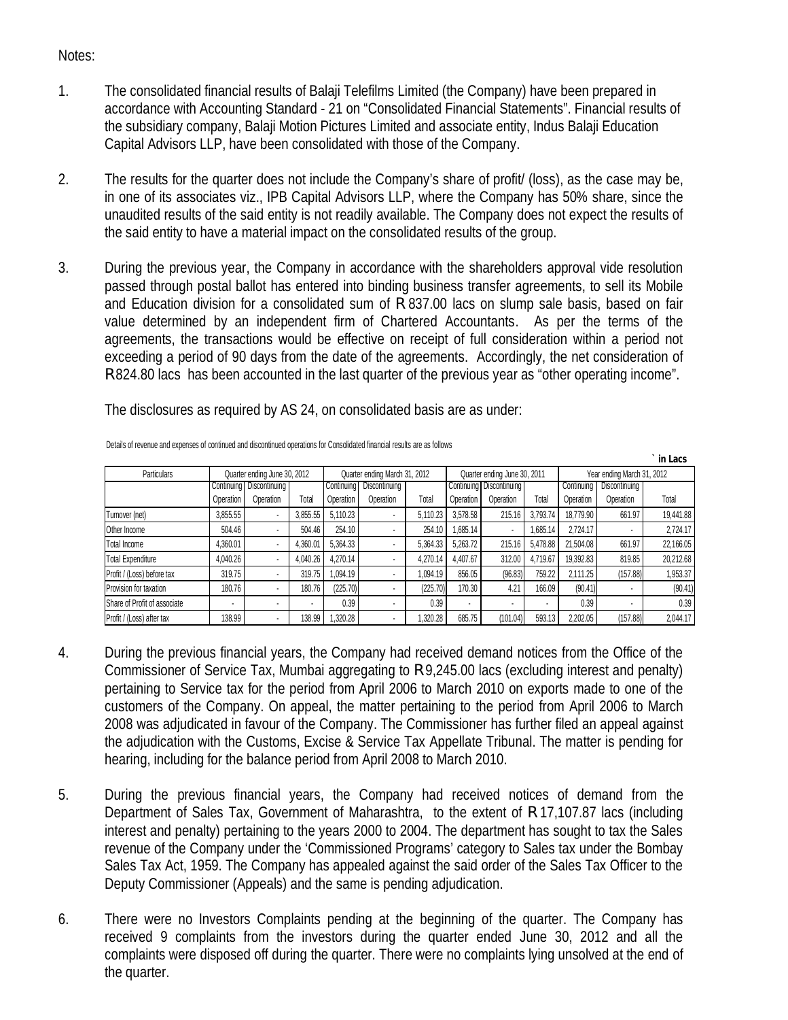## Notes:

- 1. The consolidated financial results of Balaji Telefilms Limited (the Company) have been prepared in accordance with Accounting Standard - 21 on "Consolidated Financial Statements". Financial results of the subsidiary company, Balaji Motion Pictures Limited and associate entity, Indus Balaji Education Capital Advisors LLP, have been consolidated with those of the Company.
- 2. The results for the quarter does not include the Company's share of profit/ (loss), as the case may be, in one of its associates viz., IPB Capital Advisors LLP, where the Company has 50% share, since the unaudited results of the said entity is not readily available. The Company does not expect the results of the said entity to have a material impact on the consolidated results of the group.
- 3. During the previous year, the Company in accordance with the shareholders approval vide resolution passed through postal ballot has entered into binding business transfer agreements, to sell its Mobile and Education division for a consolidated sum of R 837.00 lacs on slump sale basis, based on fair value determined by an independent firm of Chartered Accountants. As per the terms of the agreements, the transactions would be effective on receipt of full consideration within a period not exceeding a period of 90 days from the date of the agreements. Accordingly, the net consideration of R 824.80 lacs has been accounted in the last quarter of the previous year as "other operating income".

The disclosures as required by AS 24, on consolidated basis are as under:

|                              |                          |                              |                          |                               |               |          |                              |                              |                            |            |               | ` in Lacs |
|------------------------------|--------------------------|------------------------------|--------------------------|-------------------------------|---------------|----------|------------------------------|------------------------------|----------------------------|------------|---------------|-----------|
| Particulars                  |                          | Quarter ending June 30, 2012 |                          | Quarter ending March 31, 2012 |               |          | Quarter ending June 30, 2011 |                              | Year ending March 31, 2012 |            |               |           |
|                              |                          | Continuina I Discontinuina   |                          | Continuinal                   | Discontinuing |          |                              | Continuina I Discontinuina I |                            | Continuina | Discontinuing |           |
|                              | Operation                | Operation                    | Total                    | Operation                     | Operation     | Total    | Operation                    | Operation                    | Total                      | Operation  | Operation     | Total     |
| Turnover (net)               | 3,855.55                 |                              | 3.855.55                 | 5,110.23                      |               | 5,110.23 | 3,578.58                     | 215.16                       | 3.793.74                   | 18.779.90  | 661.97        | 19.441.88 |
| Other Income                 | 504.46                   |                              | 504.46                   | 254.10                        |               | 254.10   | .685.14                      |                              | 1.685.14                   | 2.724.17   | <b>.</b>      | 2.724.17  |
| <b>Total Income</b>          | 4,360.01                 |                              | 4.360.01                 | 5.364.33                      |               | 5,364.33 | 5.263.72                     | 215.16                       | 5,478.88                   | 21,504.08  | 661.97        | 22,166.05 |
| <b>Total Expenditure</b>     | 4.040.26                 |                              | 4.040.26                 | 4.270.14                      |               | 4.270.14 | 4.407.67                     | 312.00                       | 4.719.67                   | 19.392.83  | 819.85        | 20,212.68 |
| Profit / (Loss) before tax   | 319.75                   |                              | 319.75                   | 1,094.19                      |               | 1.094.19 | 856.05                       | (96.83)                      | 759.22                     | 2.111.25   | (157.88)      | 1,953.37  |
| Provision for taxation       | 180.76                   |                              | 180.76                   | (225.70)                      |               | (225.70) | 170.30                       | 4.21                         | 166.09                     | (90.41)    |               | (90.41)   |
| Share of Profit of associate | $\overline{\phantom{a}}$ |                              | $\overline{\phantom{a}}$ | 0.39                          |               | 0.39     | $\overline{\phantom{a}}$     |                              |                            | 0.39       |               | 0.39      |
| Profit / (Loss) after tax    | 138.99                   |                              | 138.99                   | 1,320.28                      |               | ,320.28  | 685.75                       | (101.04)                     | 593.13                     | 2.202.05   | (157.88)      | 2,044.17  |

Details of revenue and expenses of continued and discontinued operations for Consolidated financial results are as follows

- 4. During the previous financial years, the Company had received demand notices from the Office of the Commissioner of Service Tax, Mumbai aggregating to R 9,245.00 lacs (excluding interest and penalty) pertaining to Service tax for the period from April 2006 to March 2010 on exports made to one of the customers of the Company. On appeal, the matter pertaining to the period from April 2006 to March 2008 was adjudicated in favour of the Company. The Commissioner has further filed an appeal against the adjudication with the Customs, Excise & Service Tax Appellate Tribunal. The matter is pending for hearing, including for the balance period from April 2008 to March 2010.
- 5. During the previous financial years, the Company had received notices of demand from the Department of Sales Tax, Government of Maharashtra, to the extent of R 17,107.87 lacs (including interest and penalty) pertaining to the years 2000 to 2004. The department has sought to tax the Sales revenue of the Company under the 'Commissioned Programs' category to Sales tax under the Bombay Sales Tax Act, 1959. The Company has appealed against the said order of the Sales Tax Officer to the Deputy Commissioner (Appeals) and the same is pending adjudication.
- 6. There were no Investors Complaints pending at the beginning of the quarter. The Company has received 9 complaints from the investors during the quarter ended June 30, 2012 and all the complaints were disposed off during the quarter. There were no complaints lying unsolved at the end of the quarter.